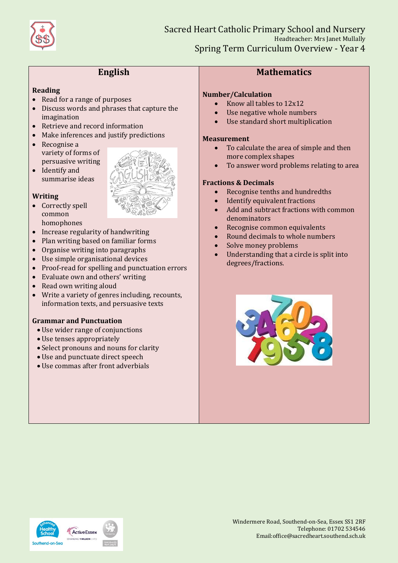

# **English**

# **Reading**

- Read for a range of purposes
- Discuss words and phrases that capture the imagination
- Retrieve and record information
- Make inferences and justify predictions
- Recognise a variety of forms of persuasive writing
- Identify and summarise ideas



- Correctly spell common homophones
- Increase regularity of handwriting
- Plan writing based on familiar forms
- Organise writing into paragraphs
- Use simple organisational devices
- Proof-read for spelling and punctuation errors
- Evaluate own and others' writing
- Read own writing aloud
- Write a variety of genres including, recounts, information texts, and persuasive texts

## **Grammar and Punctuation**

- Use wider range of conjunctions
- Use tenses appropriately
- Select pronouns and nouns for clarity
- Use and punctuate direct speech
- Use commas after front adverbials



# **Mathematics**

### **Number/Calculation**

- $\bullet$  Know all tables to  $12x12$
- Use negative whole numbers
- Use standard short multiplication

#### **Measurement**

- To calculate the area of simple and then more complex shapes
- To answer word problems relating to area

## **Fractions & Decimals**

- Recognise tenths and hundredths
- Identify equivalent fractions
- Add and subtract fractions with common denominators
- Recognise common equivalents
- Round decimals to whole numbers
- Solve money problems
- Understanding that a circle is split into degrees/fractions.



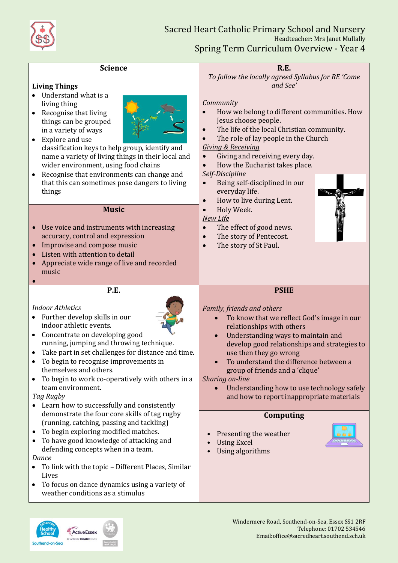

| <b>Science</b>                                                                                                                                                                                                                                                                                                                                                                                                                                                                                                                                                                                                                                                                                           | <b>R.E.</b>                                                                                                                                                                                                                                                                                                                                                                                                                                                                                                                     |
|----------------------------------------------------------------------------------------------------------------------------------------------------------------------------------------------------------------------------------------------------------------------------------------------------------------------------------------------------------------------------------------------------------------------------------------------------------------------------------------------------------------------------------------------------------------------------------------------------------------------------------------------------------------------------------------------------------|---------------------------------------------------------------------------------------------------------------------------------------------------------------------------------------------------------------------------------------------------------------------------------------------------------------------------------------------------------------------------------------------------------------------------------------------------------------------------------------------------------------------------------|
| <b>Living Things</b><br>Understand what is a<br>living thing<br>Recognise that living<br>$\bullet$<br>things can be grouped<br>in a variety of ways<br>Explore and use<br>$\bullet$<br>classification keys to help group, identify and<br>name a variety of living things in their local and<br>wider environment, using food chains<br>Recognise that environments can change and<br>$\bullet$<br>that this can sometimes pose dangers to living<br>things                                                                                                                                                                                                                                              | To follow the locally agreed Syllabus for RE 'Come<br>and See'<br><b>Community</b><br>How we belong to different communities. How<br>$\bullet$<br>Jesus choose people.<br>The life of the local Christian community.<br>The role of lay people in the Church<br><b>Giving &amp; Receiving</b><br>Giving and receiving every day.<br>$\bullet$<br>How the Eucharist takes place.<br>$\bullet$<br><b>Self-Discipline</b><br>Being self-disciplined in our<br>$\bullet$<br>everyday life.<br>How to live during Lent.<br>$\bullet$ |
| <b>Music</b><br>Use voice and instruments with increasing<br>accuracy, control and expression<br>Improvise and compose music<br>Listen with attention to detail<br>Appreciate wide range of live and recorded<br>music                                                                                                                                                                                                                                                                                                                                                                                                                                                                                   | Holy Week.<br>$\bullet$<br><b>New Life</b><br>The effect of good news.<br>$\bullet$<br>The story of Pentecost.<br>$\bullet$<br>The story of St Paul.<br>$\bullet$                                                                                                                                                                                                                                                                                                                                                               |
|                                                                                                                                                                                                                                                                                                                                                                                                                                                                                                                                                                                                                                                                                                          |                                                                                                                                                                                                                                                                                                                                                                                                                                                                                                                                 |
| P.E.                                                                                                                                                                                                                                                                                                                                                                                                                                                                                                                                                                                                                                                                                                     | <b>PSHE</b>                                                                                                                                                                                                                                                                                                                                                                                                                                                                                                                     |
| <b>Indoor Athletics</b><br>Further develop skills in our<br>$\bullet$<br>indoor athletic events.<br>Concentrate on developing good<br>$\bullet$<br>running, jumping and throwing technique.<br>Take part in set challenges for distance and time.<br>$\bullet$<br>To begin to recognise improvements in<br>themselves and others.<br>To begin to work co-operatively with others in a<br>team environment.<br>Tag Rugby<br>• Learn how to successfully and consistently<br>demonstrate the four core skills of tag rugby<br>(running, catching, passing and tackling)<br>To begin exploring modified matches.<br>٠<br>To have good knowledge of attacking and<br>٠<br>defending concepts when in a team. | Family, friends and others<br>To know that we reflect God's image in our<br>relationships with others<br>Understanding ways to maintain and<br>develop good relationships and strategies to<br>use then they go wrong<br>To understand the difference between a<br>group of friends and a 'clique'<br>Sharing on-line<br>Understanding how to use technology safely<br>and how to report inappropriate materials<br>Computing<br>Presenting the weather<br><b>Using Excel</b><br><b>Using algorithms</b>                        |